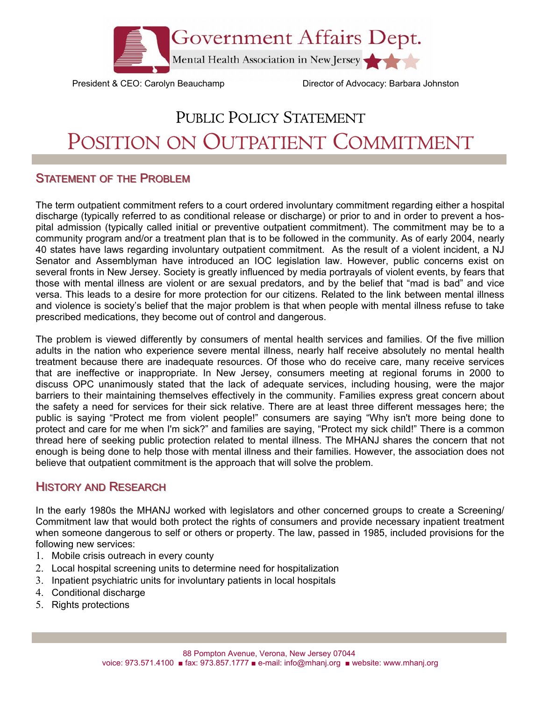

President & CEO: Carolyn Beauchamp Director of Advocacy: Barbara Johnston

## PUBLIC POLICY STATEMENT POSITION ON OUTPATIENT COMMITMENT

## **STATEMENT OF THE PROBLEM**

The term outpatient commitment refers to a court ordered involuntary commitment regarding either a hospital discharge (typically referred to as conditional release or discharge) or prior to and in order to prevent a hospital admission (typically called initial or preventive outpatient commitment). The commitment may be to a community program and/or a treatment plan that is to be followed in the community. As of early 2004, nearly 40 states have laws regarding involuntary outpatient commitment. As the result of a violent incident, a NJ Senator and Assemblyman have introduced an IOC legislation law. However, public concerns exist on several fronts in New Jersey. Society is greatly influenced by media portrayals of violent events, by fears that those with mental illness are violent or are sexual predators, and by the belief that "mad is bad" and vice versa. This leads to a desire for more protection for our citizens. Related to the link between mental illness and violence is society's belief that the major problem is that when people with mental illness refuse to take prescribed medications, they become out of control and dangerous.

The problem is viewed differently by consumers of mental health services and families. Of the five million adults in the nation who experience severe mental illness, nearly half receive absolutely no mental health treatment because there are inadequate resources. Of those who do receive care, many receive services that are ineffective or inappropriate. In New Jersey, consumers meeting at regional forums in 2000 to discuss OPC unanimously stated that the lack of adequate services, including housing, were the major barriers to their maintaining themselves effectively in the community. Families express great concern about the safety a need for services for their sick relative. There are at least three different messages here; the public is saying "Protect me from violent people!" consumers are saying "Why isn't more being done to protect and care for me when I'm sick?" and families are saying, "Protect my sick child!" There is a common thread here of seeking public protection related to mental illness. The MHANJ shares the concern that not enough is being done to help those with mental illness and their families. However, the association does not believe that outpatient commitment is the approach that will solve the problem.

## **HISTORY AND RESEARCH**

In the early 1980s the MHANJ worked with legislators and other concerned groups to create a Screening/ Commitment law that would both protect the rights of consumers and provide necessary inpatient treatment when someone dangerous to self or others or property. The law, passed in 1985, included provisions for the following new services:

- 1. Mobile crisis outreach in every county
- 2. Local hospital screening units to determine need for hospitalization
- 3. Inpatient psychiatric units for involuntary patients in local hospitals
- 4. Conditional discharge
- 5. Rights protections